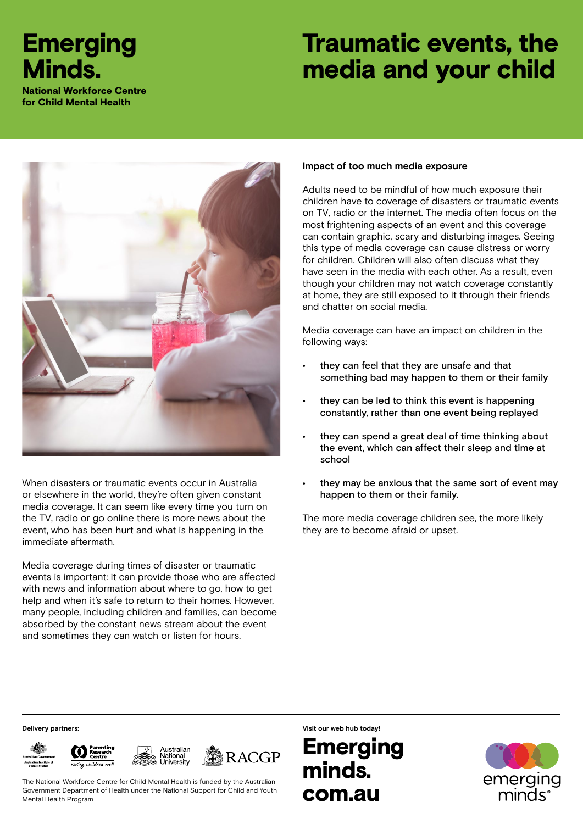## **Emerging** Minds.

National Workforce Centre for Child Mental Health

# Traumatic events, the media and your child



When disasters or traumatic events occur in Australia or elsewhere in the world, they're often given constant media coverage. It can seem like every time you turn on the TV, radio or go online there is more news about the event, who has been hurt and what is happening in the immediate aftermath.

Media coverage during times of disaster or traumatic events is important: it can provide those who are affected with news and information about where to go, how to get help and when it's safe to return to their homes. However, many people, including children and families, can become absorbed by the constant news stream about the event and sometimes they can watch or listen for hours.

#### **Impact of too much media exposure**

Adults need to be mindful of how much exposure their children have to coverage of disasters or traumatic events on TV, radio or the internet. The media often focus on the most frightening aspects of an event and this coverage can contain graphic, scary and disturbing images. Seeing this type of media coverage can cause distress or worry for children. Children will also often discuss what they have seen in the media with each other. As a result, even though your children may not watch coverage constantly at home, they are still exposed to it through their friends and chatter on social media.

Media coverage can have an impact on children in the following ways:

- they can feel that they are unsafe and that something bad may happen to them or their family
- they can be led to think this event is happening constantly, rather than one event being replayed
- they can spend a great deal of time thinking about the event, which can affect their sleep and time at school
- they may be anxious that the same sort of event may happen to them or their family.

The more media coverage children see, the more likely they are to become afraid or upset.







**RACGP** 

The National Workforce Centre for Child Mental Health is funded by the Australian Government Department of Health under the National Support for Child and Youth Mental Health Program

**Delivery partners: Visit our web hub today!**